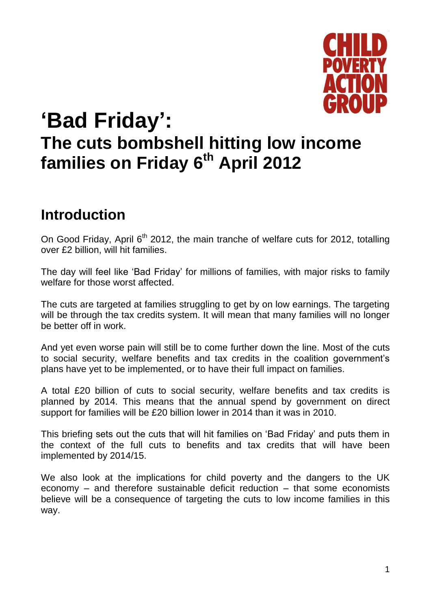

# **'Bad Friday': The cuts bombshell hitting low income families on Friday 6th April 2012**

### **Introduction**

On Good Friday, April 6<sup>th</sup> 2012, the main tranche of welfare cuts for 2012, totalling over £2 billion, will hit families.

The day will feel like 'Bad Friday' for millions of families, with major risks to family welfare for those worst affected.

The cuts are targeted at families struggling to get by on low earnings. The targeting will be through the tax credits system. It will mean that many families will no longer be better off in work.

And yet even worse pain will still be to come further down the line. Most of the cuts to social security, welfare benefits and tax credits in the coalition government's plans have yet to be implemented, or to have their full impact on families.

A total £20 billion of cuts to social security, welfare benefits and tax credits is planned by 2014. This means that the annual spend by government on direct support for families will be £20 billion lower in 2014 than it was in 2010.

This briefing sets out the cuts that will hit families on 'Bad Friday' and puts them in the context of the full cuts to benefits and tax credits that will have been implemented by 2014/15.

We also look at the implications for child poverty and the dangers to the UK economy – and therefore sustainable deficit reduction – that some economists believe will be a consequence of targeting the cuts to low income families in this way.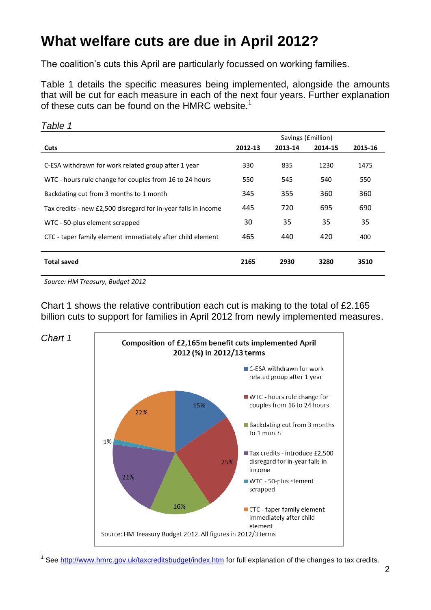# **What welfare cuts are due in April 2012?**

The coalition's cuts this April are particularly focussed on working families.

Table 1 details the specific measures being implemented, alongside the amounts that will be cut for each measure in each of the next four years. Further explanation of these cuts can be found on the HMRC website.<sup>1</sup>

| Savings ( <i>fmillion</i> ) |         |         |         |
|-----------------------------|---------|---------|---------|
| 2012-13                     | 2013-14 | 2014-15 | 2015-16 |
| 330                         | 835     | 1230    | 1475    |
| 550                         | 545     | 540     | 550     |
| 345                         | 355     | 360     | 360     |
| 445                         | 720     | 695     | 690     |
| 30                          | 35      | 35      | 35      |
| 465                         | 440     | 420     | 400     |
|                             |         |         |         |
| 2165                        | 2930    | 3280    | 3510    |
|                             |         |         |         |

*Source: HM Treasury, Budget 2012* 

*Table 1*

Chart 1 shows the relative contribution each cut is making to the total of £2.165 billion cuts to support for families in April 2012 from newly implemented measures.



1 See<http://www.hmrc.gov.uk/taxcreditsbudget/index.htm> for full explanation of the changes to tax credits.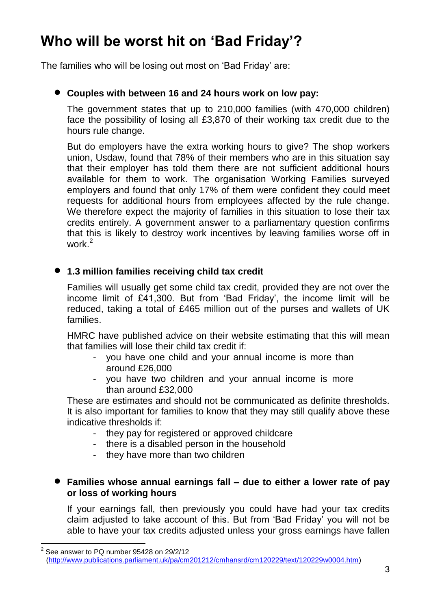# **Who will be worst hit on 'Bad Friday'?**

The families who will be losing out most on 'Bad Friday' are:

### **Couples with between 16 and 24 hours work on low pay:**

The government states that up to 210,000 families (with 470,000 children) face the possibility of losing all £3,870 of their working tax credit due to the hours rule change.

But do employers have the extra working hours to give? The shop workers union, Usdaw, found that 78% of their members who are in this situation say that their employer has told them there are not sufficient additional hours available for them to work. The organisation Working Families surveyed employers and found that only 17% of them were confident they could meet requests for additional hours from employees affected by the rule change. We therefore expect the majority of families in this situation to lose their tax credits entirely. A government answer to a parliamentary question confirms that this is likely to destroy work incentives by leaving families worse off in work.<sup>2</sup>

### **1.3 million families receiving child tax credit**

Families will usually get some child tax credit, provided they are not over the income limit of £41,300. But from 'Bad Friday', the income limit will be reduced, taking a total of £465 million out of the purses and wallets of UK families.

HMRC have published advice on their website estimating that this will mean that families will lose their child tax credit if:

- you have one child and your annual income is more than around £26,000
- you have two children and your annual income is more than around £32,000

These are estimates and should not be communicated as definite thresholds. It is also important for families to know that they may still qualify above these indicative thresholds if:

- they pay for registered or approved childcare
- there is a disabled person in the household
- they have more than two children

1

#### **Families whose annual earnings fall – due to either a lower rate of pay or loss of working hours**

If your earnings fall, then previously you could have had your tax credits claim adjusted to take account of this. But from 'Bad Friday' you will not be able to have your tax credits adjusted unless your gross earnings have fallen

<sup>2</sup> See answer to PQ number 95428 on 29/2/12 [\(http://www.publications.parliament.uk/pa/cm201212/cmhansrd/cm120229/text/120229w0004.htm\)](http://www.publications.parliament.uk/pa/cm201212/cmhansrd/cm120229/text/120229w0004.htm)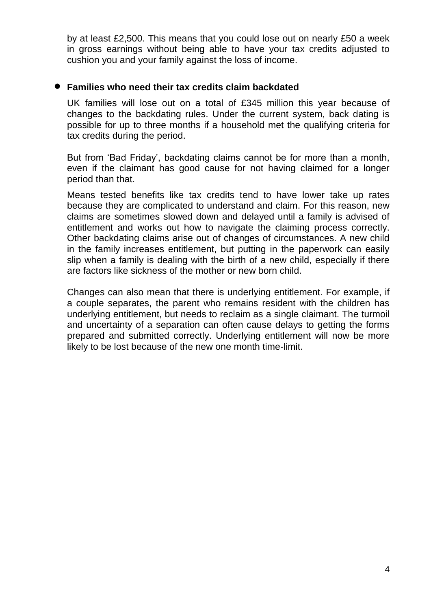by at least £2,500. This means that you could lose out on nearly £50 a week in gross earnings without being able to have your tax credits adjusted to cushion you and your family against the loss of income.

#### **Families who need their tax credits claim backdated**

UK families will lose out on a total of £345 million this year because of changes to the backdating rules. Under the current system, back dating is possible for up to three months if a household met the qualifying criteria for tax credits during the period.

But from 'Bad Friday', backdating claims cannot be for more than a month, even if the claimant has good cause for not having claimed for a longer period than that.

Means tested benefits like tax credits tend to have lower take up rates because they are complicated to understand and claim. For this reason, new claims are sometimes slowed down and delayed until a family is advised of entitlement and works out how to navigate the claiming process correctly. Other backdating claims arise out of changes of circumstances. A new child in the family increases entitlement, but putting in the paperwork can easily slip when a family is dealing with the birth of a new child, especially if there are factors like sickness of the mother or new born child.

Changes can also mean that there is underlying entitlement. For example, if a couple separates, the parent who remains resident with the children has underlying entitlement, but needs to reclaim as a single claimant. The turmoil and uncertainty of a separation can often cause delays to getting the forms prepared and submitted correctly. Underlying entitlement will now be more likely to be lost because of the new one month time-limit.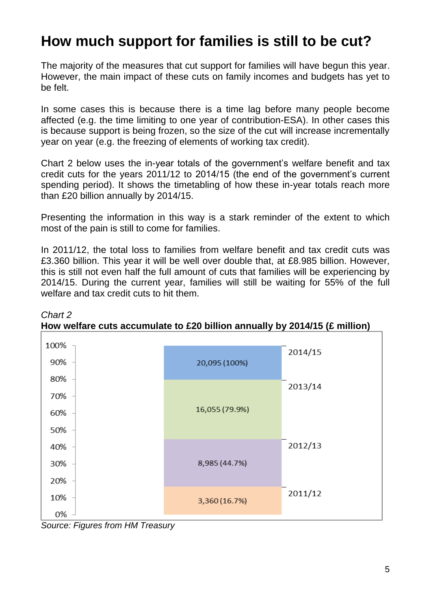# **How much support for families is still to be cut?**

The majority of the measures that cut support for families will have begun this year. However, the main impact of these cuts on family incomes and budgets has yet to be felt.

In some cases this is because there is a time lag before many people become affected (e.g. the time limiting to one year of contribution-ESA). In other cases this is because support is being frozen, so the size of the cut will increase incrementally year on year (e.g. the freezing of elements of working tax credit).

Chart 2 below uses the in-year totals of the government's welfare benefit and tax credit cuts for the years 2011/12 to 2014/15 (the end of the government's current spending period). It shows the timetabling of how these in-year totals reach more than £20 billion annually by 2014/15.

Presenting the information in this way is a stark reminder of the extent to which most of the pain is still to come for families.

In 2011/12, the total loss to families from welfare benefit and tax credit cuts was £3.360 billion. This year it will be well over double that, at £8.985 billion. However, this is still not even half the full amount of cuts that families will be experiencing by 2014/15. During the current year, families will still be waiting for 55% of the full welfare and tax credit cuts to hit them.



*Chart 2* **How welfare cuts accumulate to £20 billion annually by 2014/15 (£ million)**

*Source: Figures from HM Treasury*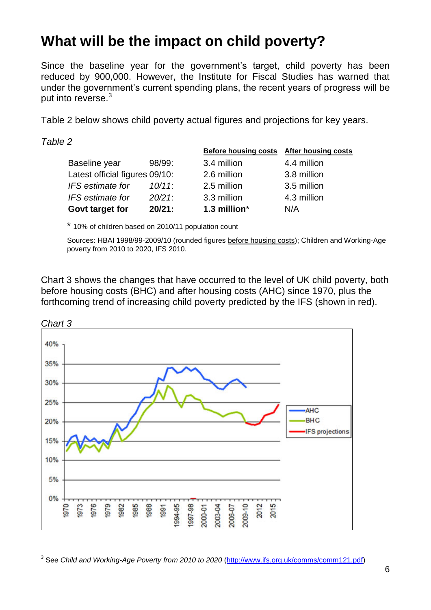### **What will be the impact on child poverty?**

Since the baseline year for the government's target, child poverty has been reduced by 900,000. However, the Institute for Fiscal Studies has warned that under the government's current spending plans, the recent years of progress will be put into reverse.<sup>3</sup>

Table 2 below shows child poverty actual figures and projections for key years.

*Table 2*

 $\overline{\phantom{a}}$ 

|                                |           | <b>Before housing costs</b> | <b>After housing costs</b> |
|--------------------------------|-----------|-----------------------------|----------------------------|
| Baseline year                  | 98/99:    | 3.4 million                 | 4.4 million                |
| Latest official figures 09/10: |           | 2.6 million                 | 3.8 million                |
| IFS estimate for               | $10/11$ : | 2.5 million                 | 3.5 million                |
| IFS estimate for               | $20/21$ : | 3.3 million                 | 4.3 million                |
| Govt target for                | 20/21:    | 1.3 million*                | N/A                        |

\* 10% of children based on 2010/11 population count

Sources: HBAI 1998/99-2009/10 (rounded figures before housing costs); Children and Working-Age poverty from 2010 to 2020, IFS 2010.

Chart 3 shows the changes that have occurred to the level of UK child poverty, both before housing costs (BHC) and after housing costs (AHC) since 1970, plus the forthcoming trend of increasing child poverty predicted by the IFS (shown in red).



<sup>&</sup>lt;sup>3</sup> See *Child and Working-Age Poverty from 2010 to 2020* [\(http://www.ifs.org.uk/comms/comm121.pdf\)](http://www.ifs.org.uk/comms/comm121.pdf)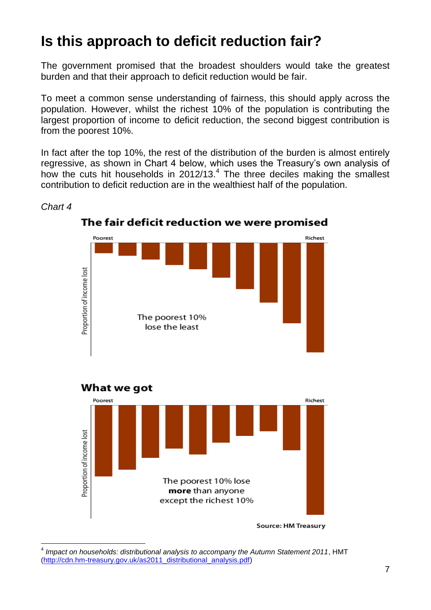# **Is this approach to deficit reduction fair?**

The government promised that the broadest shoulders would take the greatest burden and that their approach to deficit reduction would be fair.

To meet a common sense understanding of fairness, this should apply across the population. However, whilst the richest 10% of the population is contributing the largest proportion of income to deficit reduction, the second biggest contribution is from the poorest 10%.

In fact after the top 10%, the rest of the distribution of the burden is almost entirely regressive, as shown in Chart 4 below, which uses the Treasury's own analysis of how the cuts hit households in  $2012/13.<sup>4</sup>$  The three deciles making the smallest contribution to deficit reduction are in the wealthiest half of the population.



### The fair deficit reduction we were promised

*Chart 4*

<sup>1</sup> 4 *Impact on households: distributional analysis to accompany the Autumn Statement 2011*, HMT [\(http://cdn.hm-treasury.gov.uk/as2011\\_distributional\\_analysis.pdf\)](http://cdn.hm-treasury.gov.uk/as2011_distributional_analysis.pdf)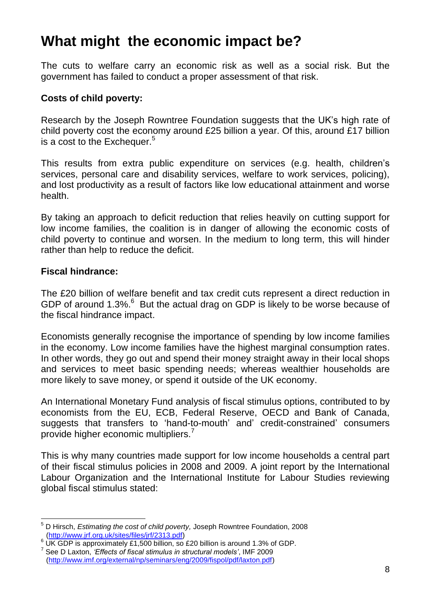### **What might the economic impact be?**

The cuts to welfare carry an economic risk as well as a social risk. But the government has failed to conduct a proper assessment of that risk.

### **Costs of child poverty:**

Research by the Joseph Rowntree Foundation suggests that the UK's high rate of child poverty cost the economy around £25 billion a year. Of this, around £17 billion is a cost to the Exchequer. $5$ 

This results from extra public expenditure on services (e.g. health, children's services, personal care and disability services, welfare to work services, policing), and lost productivity as a result of factors like low educational attainment and worse health.

By taking an approach to deficit reduction that relies heavily on cutting support for low income families, the coalition is in danger of allowing the economic costs of child poverty to continue and worsen. In the medium to long term, this will hinder rather than help to reduce the deficit.

#### **Fiscal hindrance:**

The £20 billion of welfare benefit and tax credit cuts represent a direct reduction in GDP of around  $1.3\%$ . But the actual drag on GDP is likely to be worse because of the fiscal hindrance impact.

Economists generally recognise the importance of spending by low income families in the economy. Low income families have the highest marginal consumption rates. In other words, they go out and spend their money straight away in their local shops and services to meet basic spending needs; whereas wealthier households are more likely to save money, or spend it outside of the UK economy.

An International Monetary Fund analysis of fiscal stimulus options, contributed to by economists from the EU, ECB, Federal Reserve, OECD and Bank of Canada, suggests that transfers to 'hand-to-mouth' and' credit-constrained' consumers provide higher economic multipliers.<sup>7</sup>

This is why many countries made support for low income households a central part of their fiscal stimulus policies in 2008 and 2009. A joint report by the International Labour Organization and the International Institute for Labour Studies reviewing global fiscal stimulus stated:

<sup>1</sup> <sup>5</sup> D Hirsch, *Estimating the cost of child poverty,* Joseph Rowntree Foundation, 2008 [\(http://www.jrf.org.uk/sites/files/jrf/2313.pdf\)](http://www.jrf.org.uk/sites/files/jrf/2313.pdf)

<sup>&</sup>lt;sup>6</sup> UK GDP is approximately £1,500 billion, so £20 billion is around 1.3% of GDP.

<sup>7</sup> See D Laxton, *'Effects of fiscal stimulus in structural models'*, IMF 2009 [\(http://www.imf.org/external/np/seminars/eng/2009/fispol/pdf/laxton.pdf\)](http://www.imf.org/external/np/seminars/eng/2009/fispol/pdf/laxton.pdf)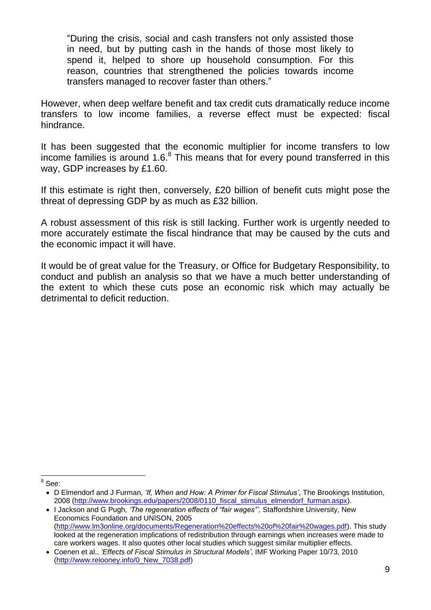"During the crisis, social and cash transfers not only assisted those in need, but by putting cash in the hands of those most likely to spend it, helped to shore up household consumption. For this reason, countries that strengthened the policies towards income transfers managed to recover faster than others."

However, when deep welfare benefit and tax credit cuts dramatically reduce income transfers to low income families, a reverse effect must be expected: fiscal hindrance.

It has been suggested that the economic multiplier for income transfers to low income families is around 1.6. $8$  This means that for every pound transferred in this way, GDP increases by £1.60.

If this estimate is right then, conversely, £20 billion of benefit cuts might pose the threat of depressing GDP by as much as £32 billion.

A robust assessment of this risk is still lacking. Further work is urgently needed to more accurately estimate the fiscal hindrance that may be caused by the cuts and the economic impact it will have.

It would be of great value for the Treasury, or Office for Budgetary Responsibility, to conduct and publish an analysis so that we have a much better understanding of the extent to which these cuts pose an economic risk which may actually be detrimental to deficit reduction.

<u>s</u><br>a<sup>8</sup> See:

D Elmendorf and J Furman, *'If, When and How: A Primer for Fiscal Stimulus'*, The Brookings Institution, 2008 (http://www.brookings.edu/papers/2008/0110 fiscal stimulus elmendorf furman.aspx).

I Jackson and G Pugh, *'The regeneration effects of "fair wages"',* Staffordshire University, New Economics Foundation and UNISON, 2005 [\(http://www.lm3online.org/documents/Regeneration%20effects%20of%20fair%20wages.pdf\)](http://www.lm3online.org/documents/Regeneration%20effects%20of%20fair%20wages.pdf). This study looked at the regeneration implications of redistribution through earnings when increases were made to care workers wages. It also quotes other local studies which suggest similar multiplier effects.

Coenen et al., *'Effects of Fiscal Stimulus in Structural Models'*, IMF Working Paper 10/73, 2010 [\(http://www.relooney.info/0\\_New\\_7038.pdf\)](http://www.relooney.info/0_New_7038.pdf)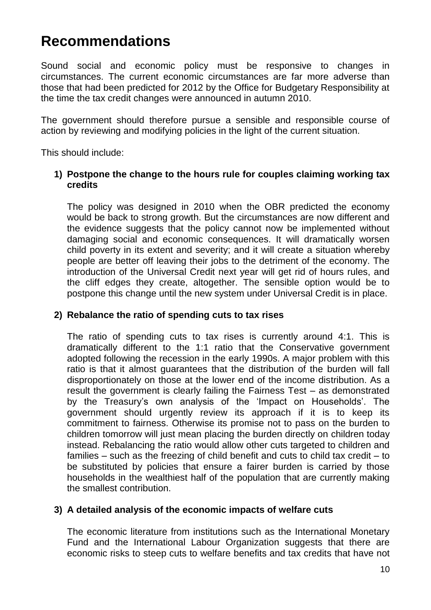### **Recommendations**

Sound social and economic policy must be responsive to changes in circumstances. The current economic circumstances are far more adverse than those that had been predicted for 2012 by the Office for Budgetary Responsibility at the time the tax credit changes were announced in autumn 2010.

The government should therefore pursue a sensible and responsible course of action by reviewing and modifying policies in the light of the current situation.

This should include:

### **1) Postpone the change to the hours rule for couples claiming working tax credits**

The policy was designed in 2010 when the OBR predicted the economy would be back to strong growth. But the circumstances are now different and the evidence suggests that the policy cannot now be implemented without damaging social and economic consequences. It will dramatically worsen child poverty in its extent and severity; and it will create a situation whereby people are better off leaving their jobs to the detriment of the economy. The introduction of the Universal Credit next year will get rid of hours rules, and the cliff edges they create, altogether. The sensible option would be to postpone this change until the new system under Universal Credit is in place.

### **2) Rebalance the ratio of spending cuts to tax rises**

The ratio of spending cuts to tax rises is currently around 4:1. This is dramatically different to the 1:1 ratio that the Conservative government adopted following the recession in the early 1990s. A major problem with this ratio is that it almost guarantees that the distribution of the burden will fall disproportionately on those at the lower end of the income distribution. As a result the government is clearly failing the Fairness Test – as demonstrated by the Treasury's own analysis of the 'Impact on Households'. The government should urgently review its approach if it is to keep its commitment to fairness. Otherwise its promise not to pass on the burden to children tomorrow will just mean placing the burden directly on children today instead. Rebalancing the ratio would allow other cuts targeted to children and families – such as the freezing of child benefit and cuts to child tax credit – to be substituted by policies that ensure a fairer burden is carried by those households in the wealthiest half of the population that are currently making the smallest contribution.

### **3) A detailed analysis of the economic impacts of welfare cuts**

The economic literature from institutions such as the International Monetary Fund and the International Labour Organization suggests that there are economic risks to steep cuts to welfare benefits and tax credits that have not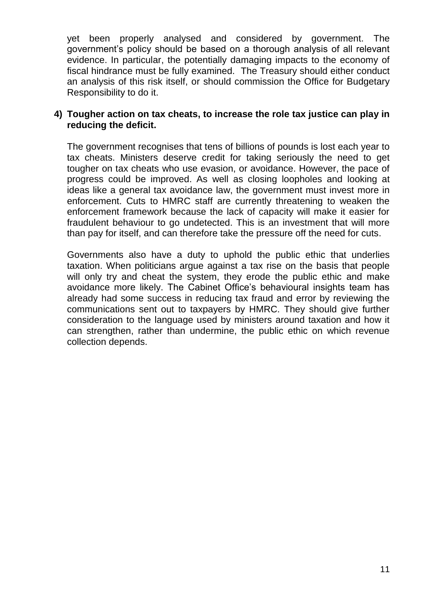yet been properly analysed and considered by government. The government's policy should be based on a thorough analysis of all relevant evidence. In particular, the potentially damaging impacts to the economy of fiscal hindrance must be fully examined. The Treasury should either conduct an analysis of this risk itself, or should commission the Office for Budgetary Responsibility to do it.

#### **4) Tougher action on tax cheats, to increase the role tax justice can play in reducing the deficit.**

The government recognises that tens of billions of pounds is lost each year to tax cheats. Ministers deserve credit for taking seriously the need to get tougher on tax cheats who use evasion, or avoidance. However, the pace of progress could be improved. As well as closing loopholes and looking at ideas like a general tax avoidance law, the government must invest more in enforcement. Cuts to HMRC staff are currently threatening to weaken the enforcement framework because the lack of capacity will make it easier for fraudulent behaviour to go undetected. This is an investment that will more than pay for itself, and can therefore take the pressure off the need for cuts.

Governments also have a duty to uphold the public ethic that underlies taxation. When politicians argue against a tax rise on the basis that people will only try and cheat the system, they erode the public ethic and make avoidance more likely. The Cabinet Office's behavioural insights team has already had some success in reducing tax fraud and error by reviewing the communications sent out to taxpayers by HMRC. They should give further consideration to the language used by ministers around taxation and how it can strengthen, rather than undermine, the public ethic on which revenue collection depends.